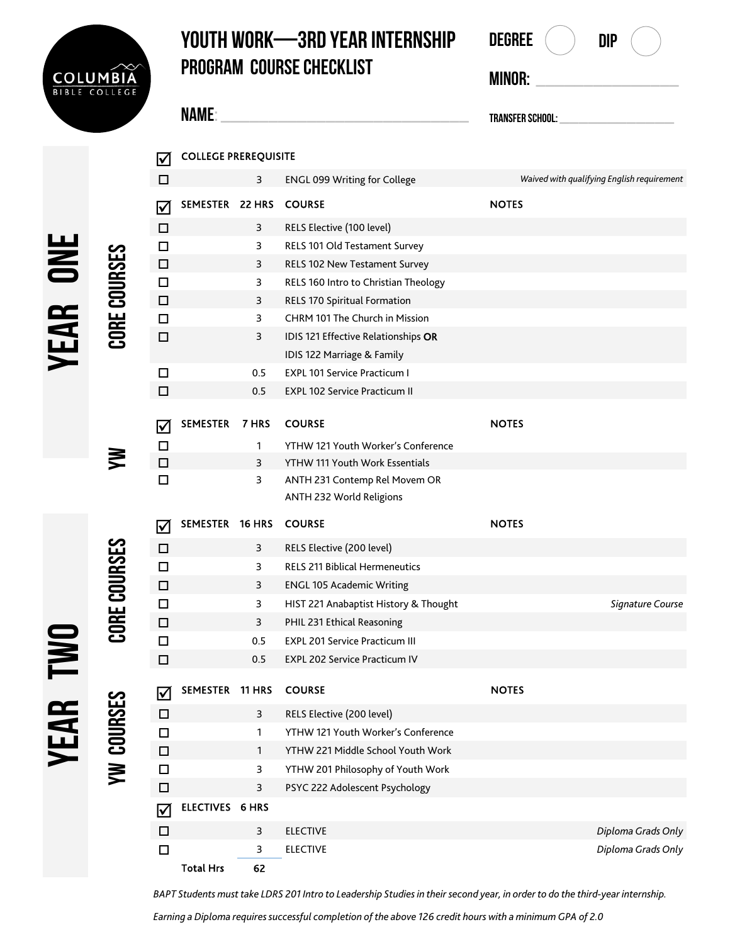

**Name: \_\_\_\_\_\_\_\_\_\_\_\_\_\_\_\_\_\_\_\_\_\_\_\_\_\_**

COLLEGE PREREQUISITE

 $\overline{M}$ 

## **Youth Work—3rd Year internship program Course Checklist**

| Degree           | DIP |                                            |  |
|------------------|-----|--------------------------------------------|--|
| MINOR:           |     |                                            |  |
| Transfer School: |     |                                            |  |
|                  |     | Waived with qualifying English requirement |  |
| <b>NOTES</b>     |     |                                            |  |

|                 |                 | $\Box$                |                        | 3            | <b>ENGL 099 Writing for College</b>                               |              | Waived with qualifying English requirement |
|-----------------|-----------------|-----------------------|------------------------|--------------|-------------------------------------------------------------------|--------------|--------------------------------------------|
|                 |                 | $\bm \nabla$          | SEMESTER 22 HRS        |              | <b>COURSE</b>                                                     | <b>NOTES</b> |                                            |
|                 |                 | $\Box$                |                        | 3            | RELS Elective (100 level)                                         |              |                                            |
|                 |                 | $\Box$                |                        | 3            | RELS 101 Old Testament Survey                                     |              |                                            |
|                 |                 | $\Box$                |                        | 3            | RELS 102 New Testament Survey                                     |              |                                            |
|                 |                 | $\Box$                |                        | 3            | RELS 160 Intro to Christian Theology                              |              |                                            |
|                 |                 | $\Box$                |                        | 3            | RELS 170 Spiritual Formation                                      |              |                                            |
|                 |                 | $\Box$                |                        | 3            | CHRM 101 The Church in Mission                                    |              |                                            |
| <b>YEAR ONE</b> | CORE COURSES    | $\Box$                |                        | 3            | IDIS 121 Effective Relationships OR<br>IDIS 122 Marriage & Family |              |                                            |
|                 |                 | $\Box$                |                        | 0.5          | <b>EXPL 101 Service Practicum I</b>                               |              |                                            |
|                 |                 | $\Box$                |                        | 0.5          | <b>EXPL 102 Service Practicum II</b>                              |              |                                            |
|                 |                 |                       | <b>SEMESTER</b>        | 7 HRS        | <b>COURSE</b>                                                     | <b>NOTES</b> |                                            |
|                 |                 | $\boldsymbol{\nabla}$ |                        |              | YTHW 121 Youth Worker's Conference                                |              |                                            |
|                 | ₹               | $\Box$<br>$\Box$      |                        | 1<br>3       | YTHW 111 Youth Work Essentials                                    |              |                                            |
|                 |                 | $\Box$                |                        | 3            | ANTH 231 Contemp Rel Movem OR                                     |              |                                            |
|                 |                 |                       |                        |              | ANTH 232 World Religions                                          |              |                                            |
|                 |                 | $\blacktriangledown$  | SEMESTER 16 HRS        |              | <b>COURSE</b>                                                     | <b>NOTES</b> |                                            |
|                 |                 | $\Box$                |                        | 3            | RELS Elective (200 level)                                         |              |                                            |
|                 |                 | $\Box$                |                        | 3            | <b>RELS 211 Biblical Hermeneutics</b>                             |              |                                            |
|                 |                 | $\Box$                |                        | 3            | <b>ENGL 105 Academic Writing</b>                                  |              |                                            |
|                 | CORE COURSES    | $\Box$                |                        | 3            | HIST 221 Anabaptist History & Thought                             |              | Signature Course                           |
|                 |                 | $\Box$                |                        | 3            | PHIL 231 Ethical Reasoning                                        |              |                                            |
|                 |                 | $\Box$                |                        | 0.5          | <b>EXPL 201 Service Practicum III</b>                             |              |                                            |
|                 |                 | $\Box$                |                        | 0.5          | <b>EXPL 202 Service Practicum IV</b>                              |              |                                            |
| <b>TWO</b>      | က္က             | $\blacktriangledown$  | SEMESTER 11 HRS        |              | <b>COURSE</b>                                                     | <b>NOTES</b> |                                            |
|                 |                 | □                     |                        | 3            | RELS Elective (200 level)                                         |              |                                            |
|                 |                 | $\Box$                |                        | 1            | YTHW 121 Youth Worker's Conference                                |              |                                            |
| YEAF            | <b>YW COURS</b> | $\Box$                |                        | $\mathbf{1}$ | YTHW 221 Middle School Youth Work                                 |              |                                            |
|                 |                 | □                     |                        | 3            | YTHW 201 Philosophy of Youth Work                                 |              |                                            |
|                 |                 | $\Box$                |                        | 3            | PSYC 222 Adolescent Psychology                                    |              |                                            |
|                 |                 | $\bm{\nabla}$         | <b>ELECTIVES 6 HRS</b> |              |                                                                   |              |                                            |
|                 |                 | $\Box$                |                        | 3            | <b>ELECTIVE</b>                                                   |              | Diploma Grads Only                         |
|                 |                 | $\Box$                |                        | 3            | <b>ELECTIVE</b>                                                   |              | Diploma Grads Only                         |
|                 |                 |                       | <b>Total Hrs</b>       | 62           |                                                                   |              |                                            |

*BAPT Students must take LDRS 201 Intro to Leadership Studies in their second year, in order to do the third-year internship.* 

*Earning a Diploma requires successful completion of the above 126 credit hours with a minimum GPA of 2.0*